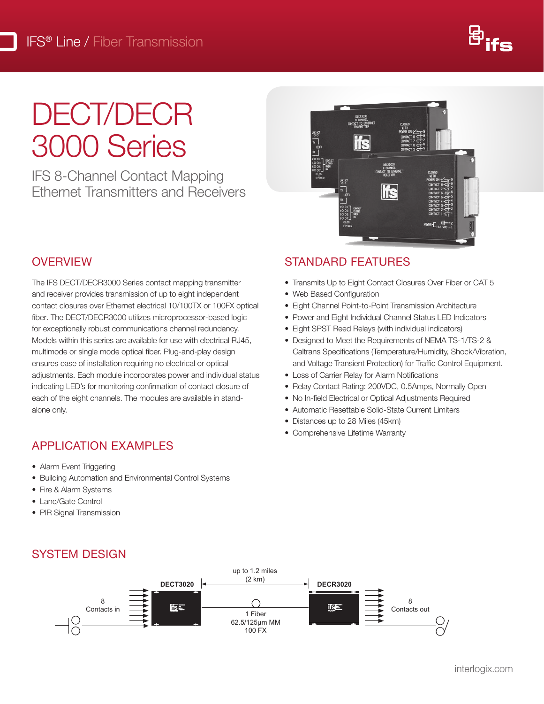# DECT/DECR 3000 Series Sec

IFS 8-Channel Contact Mapping **Contact Strategies American** Ethernet Transmitters and Receivers

## Numberoffibers 2 **OVERVIEW**

The IFS DECT/DECR3000 Series contact mapping transmitter and receiver provides transmission of up to eight independent contact closures over Ethernet electrical 10/100TX or 100FX optical for exceptionally robust communications channel redundancy. multimode or single mode optical fiber. Plug-and-play design ensures ease of installation requiring no electrical or optical metallies of and Voltage 1 adjustments. Each module incorporates power and individual status indicating LED's for monitoring confirmation of contact closure of each of the eight channels. The modules are available in standalone only. fiber. The DECT/DECR3000 utilizes microprocessor-based logic Models within this series are available for use with electrical RJ45,

### $ADBLDAETOMENAMBER$ APPLICATION EXAMPLES

- Alarm Event Triggering
- Alami Event Inggening<br>• Building Automation and Environmental Control Systems

System Design

- $\bullet$  Fire  $\alpha$  Aliarm Systems  $\bullet$ • Fire & Alarm Systems
	- Lane/Gate Control
	- PIR Signal Transmission

SYSTEM DESIGN

# STANDARD FEATURES

- Transmits Up to Eight Contact Closures Over Fiber or CAT 5
- Web Based Configuration
- Eight Channel Point-to-Point Transmission Architecture
- Power and Eight Individual Channel Status LED Indicators
- Eight SPST Reed Relays (with individual indicators)
- Designed to Meet the Requirements of NEMA TS-1/TS-2 & Caltrans Specifications (Temperature/Humidity, Shock/Vibration, and Voltage Transient Protection) for Traffic Control Equipment.
- Loss of Carrier Relay for Alarm Notifications
- Relay Contact Rating: 200VDC, 0.5Amps, Normally Open
- No In-field Electrical or Optical Adjustments Required
- Automatic Resettable Solid-State Current Limiters
- Distances up to 28 Miles (45km)
- Comprehensive Lifetime Warranty